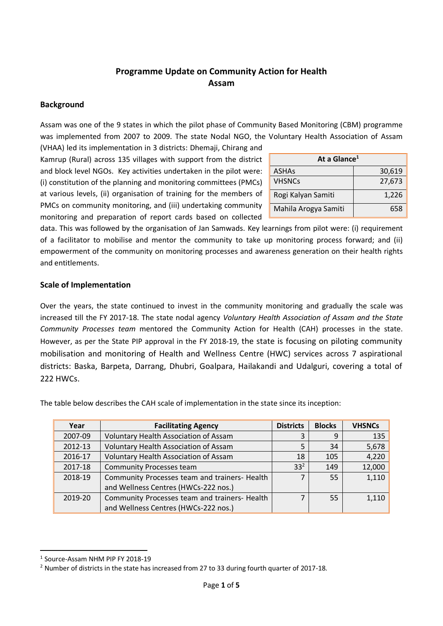# **Programme Update on Community Action for Health Assam**

### **Background**

Assam was one of the 9 states in which the pilot phase of Community Based Monitoring (CBM) programme was implemented from 2007 to 2009. The state Nodal NGO, the Voluntary Health Association of Assam

(VHAA) led its implementation in 3 districts: Dhemaji, Chirang and Kamrup (Rural) across 135 villages with support from the district and block level NGOs. Key activities undertaken in the pilot were: (i) constitution of the planning and monitoring committees (PMCs) at various levels, (ii) organisation of training for the members of PMCs on community monitoring, and (iii) undertaking community monitoring and preparation of report cards based on collected

| At a Glance <sup>1</sup> |        |
|--------------------------|--------|
| <b>ASHAs</b>             | 30,619 |
| <b>VHSNCs</b>            | 27,673 |
| Rogi Kalyan Samiti       | 1,226  |
| Mahila Arogya Samiti     | 658    |

data. This was followed by the organisation of Jan Samwads. Key learnings from pilot were: (i) requirement of a facilitator to mobilise and mentor the community to take up monitoring process forward; and (ii) empowerment of the community on monitoring processes and awareness generation on their health rights and entitlements.

### **Scale of Implementation**

Over the years, the state continued to invest in the community monitoring and gradually the scale was increased till the FY 2017-18. The state nodal agency *Voluntary Health Association of Assam and the State Community Processes team* mentored the Community Action for Health (CAH) processes in the state. However, as per the State PIP approval in the FY 2018-19, the state is focusing on piloting community mobilisation and monitoring of Health and Wellness Centre (HWC) services across 7 aspirational districts: Baska, Barpeta, Darrang, Dhubri, Goalpara, Hailakandi and Udalguri, covering a total of 222 HWCs.

The table below describes the CAH scale of implementation in the state since its inception:

| Year    | <b>Facilitating Agency</b>                    | <b>Districts</b> | <b>Blocks</b> | <b>VHSNCs</b> |
|---------|-----------------------------------------------|------------------|---------------|---------------|
| 2007-09 | <b>Voluntary Health Association of Assam</b>  |                  | 9             | 135           |
| 2012-13 | Voluntary Health Association of Assam         |                  | 34            | 5,678         |
| 2016-17 | <b>Voluntary Health Association of Assam</b>  | 18               | 105           | 4,220         |
| 2017-18 | <b>Community Processes team</b>               | $33^{2}$         | 149           | 12,000        |
| 2018-19 | Community Processes team and trainers- Health |                  | 55            | 1,110         |
|         | and Wellness Centres (HWCs-222 nos.)          |                  |               |               |
| 2019-20 | Community Processes team and trainers- Health |                  | 55            | 1,110         |
|         | and Wellness Centres (HWCs-222 nos.)          |                  |               |               |

**.** 

<sup>1</sup> Source-Assam NHM PIP FY 2018-19

<sup>2</sup> Number of districts in the state has increased from 27 to 33 during fourth quarter of 2017-18.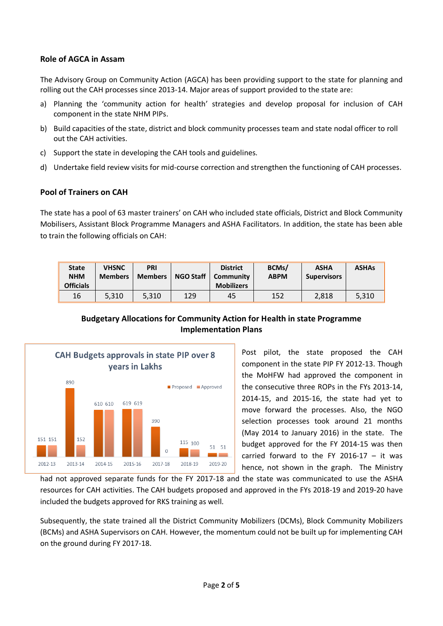## **Role of AGCA in Assam**

The Advisory Group on Community Action (AGCA) has been providing support to the state for planning and rolling out the CAH processes since 2013-14. Major areas of support provided to the state are:

- a) Planning the 'community action for health' strategies and develop proposal for inclusion of CAH component in the state NHM PIPs.
- b) Build capacities of the state, district and block community processes team and state nodal officer to roll out the CAH activities.
- c) Support the state in developing the CAH tools and guidelines.
- d) Undertake field review visits for mid-course correction and strengthen the functioning of CAH processes.

## **Pool of Trainers on CAH**

The state has a pool of 63 master trainers' on CAH who included state officials, District and Block Community Mobilisers, Assistant Block Programme Managers and ASHA Facilitators. In addition, the state has been able to train the following officials on CAH:

| <b>State</b><br><b>NHM</b><br><b>Officials</b> | <b>VHSNC</b><br><b>Members</b> | <b>PRI</b><br><b>Members</b> | <b>NGO Staff</b> | <b>District</b><br>Community<br><b>Mobilizers</b> | BCMs/<br><b>ABPM</b> | <b>ASHA</b><br><b>Supervisors</b> | <b>ASHAs</b> |
|------------------------------------------------|--------------------------------|------------------------------|------------------|---------------------------------------------------|----------------------|-----------------------------------|--------------|
| 16                                             | 5.310                          | 5.310                        | 129              | 45                                                | 152                  | 2.818                             | 5.310        |

## **Budgetary Allocations for Community Action for Health in state Programme Implementation Plans**



Post pilot, the state proposed the CAH component in the state PIP FY 2012-13. Though the MoHFW had approved the component in the consecutive three ROPs in the FYs 2013-14, 2014-15, and 2015-16, the state had yet to move forward the processes. Also, the NGO selection processes took around 21 months (May 2014 to January 2016) in the state. The budget approved for the FY 2014-15 was then carried forward to the FY 2016-17  $-$  it was hence, not shown in the graph. The Ministry

had not approved separate funds for the FY 2017-18 and the state was communicated to use the ASHA resources for CAH activities. The CAH budgets proposed and approved in the FYs 2018-19 and 2019-20 have included the budgets approved for RKS training as well.

Subsequently, the state trained all the District Community Mobilizers (DCMs), Block Community Mobilizers (BCMs) and ASHA Supervisors on CAH. However, the momentum could not be built up for implementing CAH on the ground during FY 2017-18.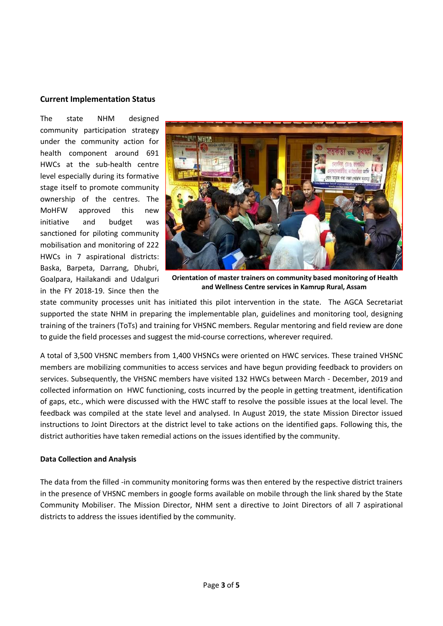### **Current Implementation Status**

The state NHM designed community participation strategy under the community action for health component around 691 HWCs at the sub-health centre level especially during its formative stage itself to promote community ownership of the centres. The MoHFW approved this new initiative and budget was sanctioned for piloting community mobilisation and monitoring of 222 HWCs in 7 aspirational districts: Baska, Barpeta, Darrang, Dhubri, Goalpara, Hailakandi and Udalguri in the FY 2018-19. Since then the



**Orientation of master trainers on community based monitoring of Health and Wellness Centre services in Kamrup Rural, Assam**

state community processes unit has initiated this pilot intervention in the state. The AGCA Secretariat supported the state NHM in preparing the implementable plan, guidelines and monitoring tool, designing training of the trainers (ToTs) and training for VHSNC members. Regular mentoring and field review are done to guide the field processes and suggest the mid-course corrections, wherever required.

A total of 3,500 VHSNC members from 1,400 VHSNCs were oriented on HWC services. These trained VHSNC members are mobilizing communities to access services and have begun providing feedback to providers on services. Subsequently, the VHSNC members have visited 132 HWCs between March - December, 2019 and collected information on HWC functioning, costs incurred by the people in getting treatment, identification of gaps, etc., which were discussed with the HWC staff to resolve the possible issues at the local level. The feedback was compiled at the state level and analysed. In August 2019, the state Mission Director issued instructions to Joint Directors at the district level to take actions on the identified gaps. Following this, the district authorities have taken remedial actions on the issues identified by the community.

### **Data Collection and Analysis**

The data from the filled -in community monitoring forms was then entered by the respective district trainers in the presence of VHSNC members in google forms available on mobile through the link shared by the State Community Mobiliser. The Mission Director, NHM sent a directive to Joint Directors of all 7 aspirational districts to address the issues identified by the community.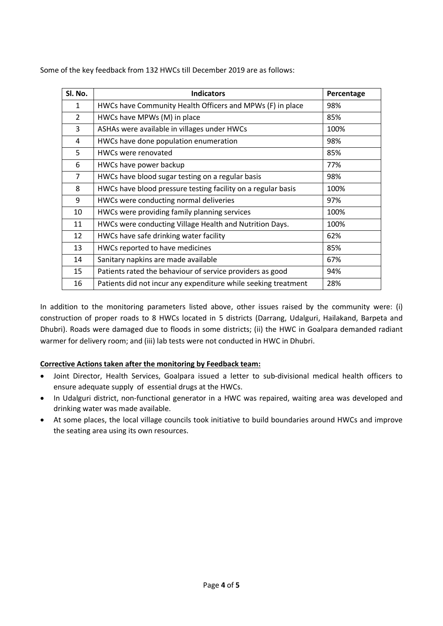| Sl. No.        | <b>Indicators</b>                                              | Percentage |
|----------------|----------------------------------------------------------------|------------|
| $\mathbf{1}$   | HWCs have Community Health Officers and MPWs (F) in place      | 98%        |
| $\overline{2}$ | HWCs have MPWs (M) in place                                    | 85%        |
| 3              | ASHAs were available in villages under HWCs                    | 100%       |
| 4              | HWCs have done population enumeration                          | 98%        |
| 5              | HWCs were renovated                                            | 85%        |
| 6              | HWCs have power backup                                         | 77%        |
| $\overline{7}$ | HWCs have blood sugar testing on a regular basis               | 98%        |
| 8              | HWCs have blood pressure testing facility on a regular basis   | 100%       |
| 9              | HWCs were conducting normal deliveries                         | 97%        |
| 10             | HWCs were providing family planning services                   | 100%       |
| 11             | HWCs were conducting Village Health and Nutrition Days.        | 100%       |
| 12             | HWCs have safe drinking water facility                         | 62%        |
| 13             | HWCs reported to have medicines                                | 85%        |
| 14             | Sanitary napkins are made available                            | 67%        |
| 15             | Patients rated the behaviour of service providers as good      | 94%        |
| 16             | Patients did not incur any expenditure while seeking treatment | 28%        |

Some of the key feedback from 132 HWCs till December 2019 are as follows:

In addition to the monitoring parameters listed above, other issues raised by the community were: (i) construction of proper roads to 8 HWCs located in 5 districts (Darrang, Udalguri, Hailakand, Barpeta and Dhubri). Roads were damaged due to floods in some districts; (ii) the HWC in Goalpara demanded radiant warmer for delivery room; and (iii) lab tests were not conducted in HWC in Dhubri.

### **Corrective Actions taken after the monitoring by Feedback team:**

- Joint Director, Health Services, Goalpara issued a letter to sub-divisional medical health officers to ensure adequate supply of essential drugs at the HWCs.
- In Udalguri district, non-functional generator in a HWC was repaired, waiting area was developed and drinking water was made available.
- At some places, the local village councils took initiative to build boundaries around HWCs and improve the seating area using its own resources.